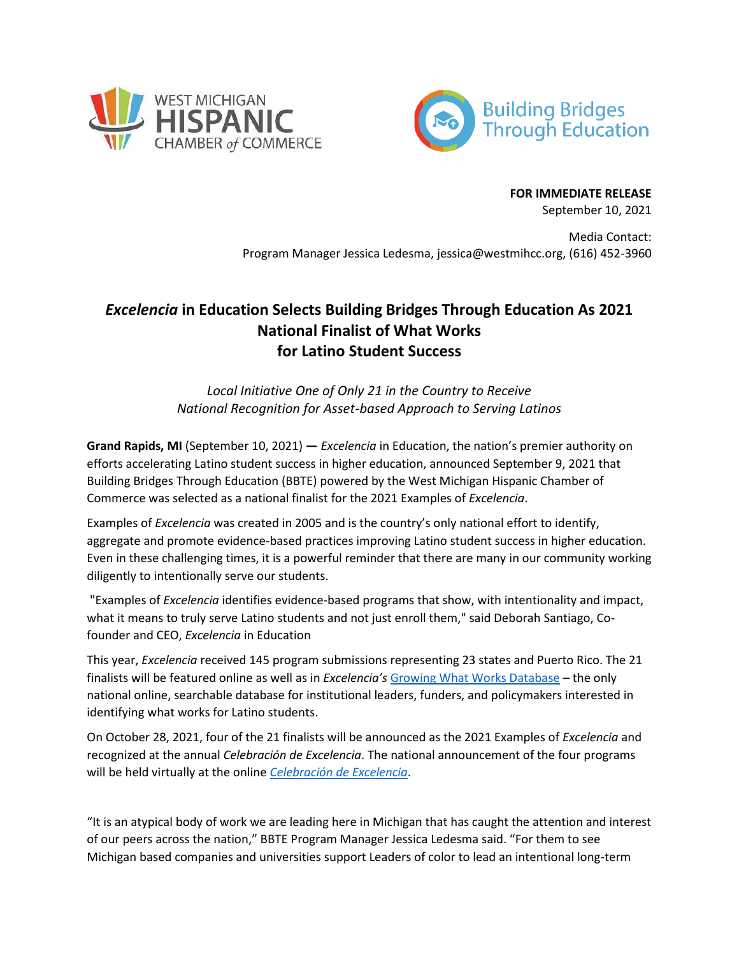



**FOR IMMEDIATE RELEASE** September 10, 2021

Media Contact: Program Manager Jessica Ledesma, jessica@westmihcc.org, (616) 452-3960

## *Excelencia* **in Education Selects Building Bridges Through Education As 2021 National Finalist of What Works for Latino Student Success**

*Local Initiative One of Only 21 in the Country to Receive National Recognition for Asset-based Approach to Serving Latinos*

**Grand Rapids, MI** (September 10, 2021) **—** *Excelencia* in Education, the nation's premier authority on efforts accelerating Latino student success in higher education, announced September 9, 2021 that Building Bridges Through Education (BBTE) powered by the West Michigan Hispanic Chamber of Commerce was selected as a national finalist for the 2021 Examples of *Excelencia*.

Examples of *Excelencia* was created in 2005 and is the country's only national effort to identify, aggregate and promote evidence-based practices improving Latino student success in higher education. Even in these challenging times, it is a powerful reminder that there are many in our community working diligently to intentionally serve our students.

"Examples of *Excelencia* identifies evidence-based programs that show, with intentionality and impact, what it means to truly serve Latino students and not just enroll them," said Deborah Santiago, Cofounder and CEO, *Excelencia* in Education

This year, *Excelencia* received 145 program submissions representing 23 states and Puerto Rico. The 21 finalists will be featured online as well as in *Excelencia's* [Growing What Works Database](https://www.edexcelencia.org/programs-initiatives/growing-what-works-database) – the only national online, searchable database for institutional leaders, funders, and policymakers interested in identifying what works for Latino students.

On October 28, 2021, four of the 21 finalists will be announced as the 2021 Examples of *Excelencia* and recognized at the annual *Celebración de Excelencia*. The national announcement of the four programs will be held virtually at the online *[Celebración de Excelencia](https://www.eventbrite.com/e/the-virtual-meeting-place-for-latino-student-success-in-higher-education-tickets-116918368989)*.

"It is an atypical body of work we are leading here in Michigan that has caught the attention and interest of our peers across the nation," BBTE Program Manager Jessica Ledesma said. "For them to see Michigan based companies and universities support Leaders of color to lead an intentional long-term